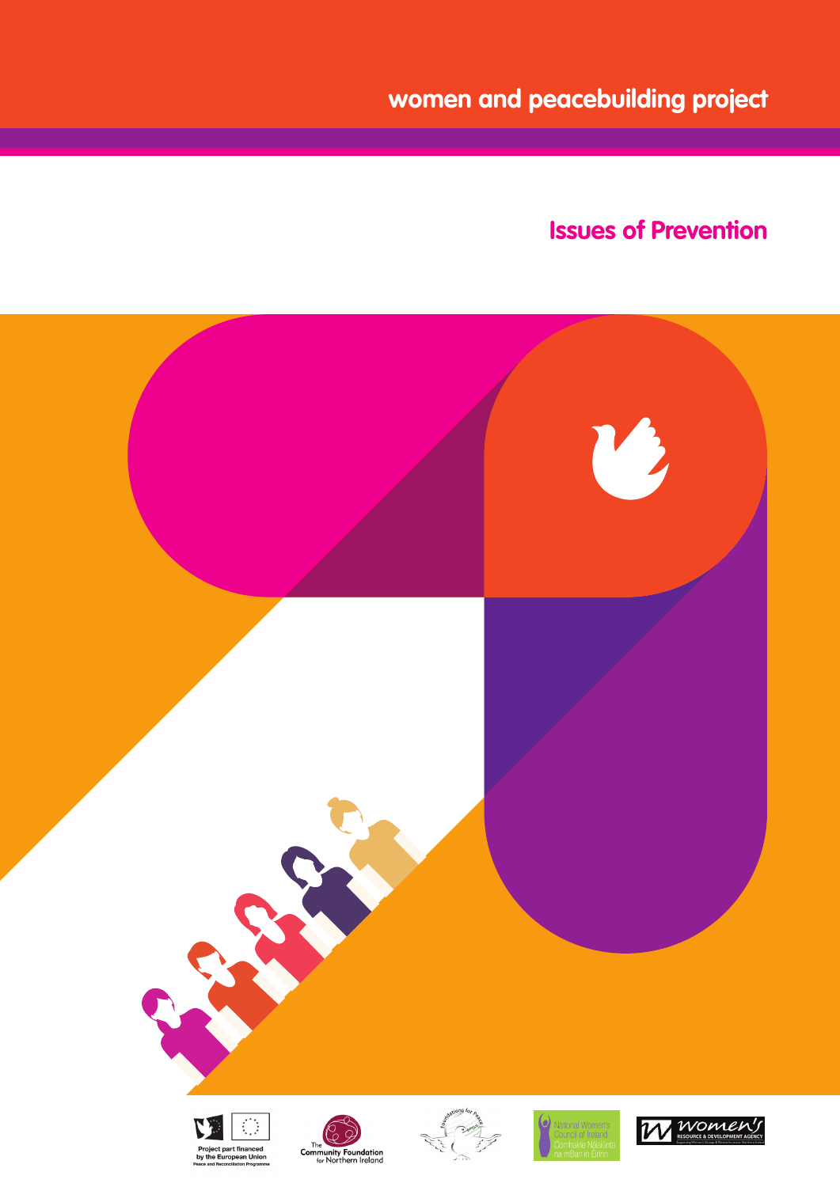**women and peacebuilding project**

# **Issues of Prevention**

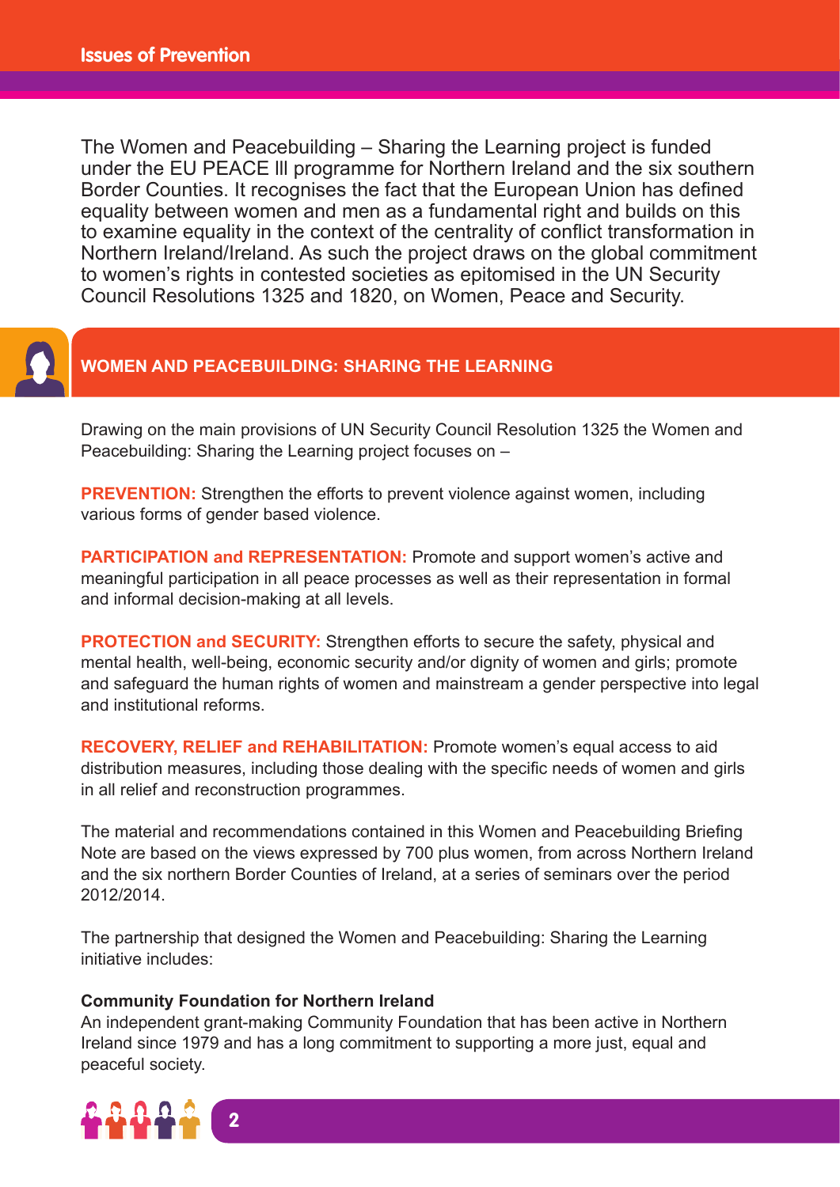The Women and Peacebuilding – Sharing the Learning project is funded under the EU PEACE lll programme for Northern Ireland and the six southern Border Counties. It recognises the fact that the European Union has defined equality between women and men as a fundamental right and builds on this to examine equality in the context of the centrality of conflict transformation in Northern Ireland/Ireland. As such the project draws on the global commitment to women's rights in contested societies as epitomised in the UN Security Council Resolutions 1325 and 1820, on Women, Peace and Security.



## **WOMEN AND PEACEBUILDING: SHARING THE LEARNING**

Drawing on the main provisions of UN Security Council Resolution 1325 the Women and Peacebuilding: Sharing the Learning project focuses on –

**PREVENTION:** Strengthen the efforts to prevent violence against women, including various forms of gender based violence.

**PARTICIPATION and REPRESENTATION:** Promote and support women's active and meaningful participation in all peace processes as well as their representation in formal and informal decision-making at all levels.

**PROTECTION and SECURITY:** Strengthen efforts to secure the safety, physical and mental health, well-being, economic security and/or dignity of women and girls; promote and safeguard the human rights of women and mainstream a gender perspective into legal and institutional reforms.

**RECOVERY, RELIEF and REHABILITATION:** Promote women's equal access to aid distribution measures, including those dealing with the specific needs of women and girls in all relief and reconstruction programmes.

The material and recommendations contained in this Women and Peacebuilding Briefing Note are based on the views expressed by 700 plus women, from across Northern Ireland and the six northern Border Counties of Ireland, at a series of seminars over the period 2012/2014.

The partnership that designed the Women and Peacebuilding: Sharing the Learning initiative includes:

#### **Community Foundation for Northern Ireland**

An independent grant-making Community Foundation that has been active in Northern Ireland since 1979 and has a long commitment to supporting a more just, equal and peaceful society.

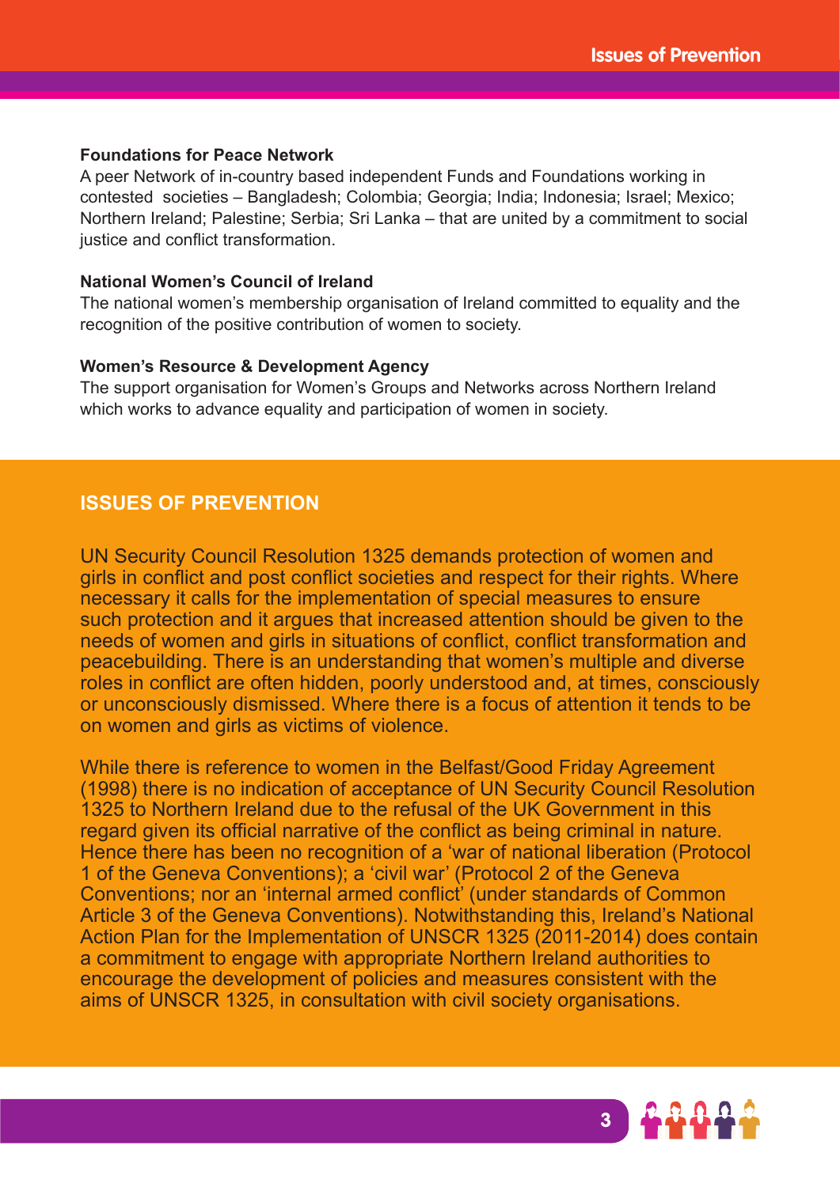#### **Foundations for Peace Network**

A peer Network of in-country based independent Funds and Foundations working in contested societies – Bangladesh; Colombia; Georgia; India; Indonesia; Israel; Mexico; Northern Ireland; Palestine; Serbia; Sri Lanka – that are united by a commitment to social justice and conflict transformation.

#### **National Women's Council of Ireland**

The national women's membership organisation of Ireland committed to equality and the recognition of the positive contribution of women to society.

#### **Women's Resource & Development Agency**

The support organisation for Women's Groups and Networks across Northern Ireland which works to advance equality and participation of women in society.

## **ISSUES OF PREVENTION**

UN Security Council Resolution 1325 demands protection of women and girls in conflict and post conflict societies and respect for their rights. Where necessary it calls for the implementation of special measures to ensure such protection and it argues that increased attention should be given to the needs of women and girls in situations of conflict, conflict transformation and peacebuilding. There is an understanding that women's multiple and diverse roles in conflict are often hidden, poorly understood and, at times, consciously or unconsciously dismissed. Where there is a focus of attention it tends to be on women and girls as victims of violence.

While there is reference to women in the Belfast/Good Friday Agreement (1998) there is no indication of acceptance of UN Security Council Resolution 1325 to Northern Ireland due to the refusal of the UK Government in this regard given its official narrative of the conflict as being criminal in nature. Hence there has been no recognition of a 'war of national liberation (Protocol 1 of the Geneva Conventions); a 'civil war' (Protocol 2 of the Geneva Conventions; nor an 'internal armed conflict' (under standards of Common Article 3 of the Geneva Conventions). Notwithstanding this, Ireland's National Action Plan for the Implementation of UNSCR 1325 (2011-2014) does contain a commitment to engage with appropriate Northern Ireland authorities to encourage the development of policies and measures consistent with the aims of UNSCR 1325, in consultation with civil society organisations.

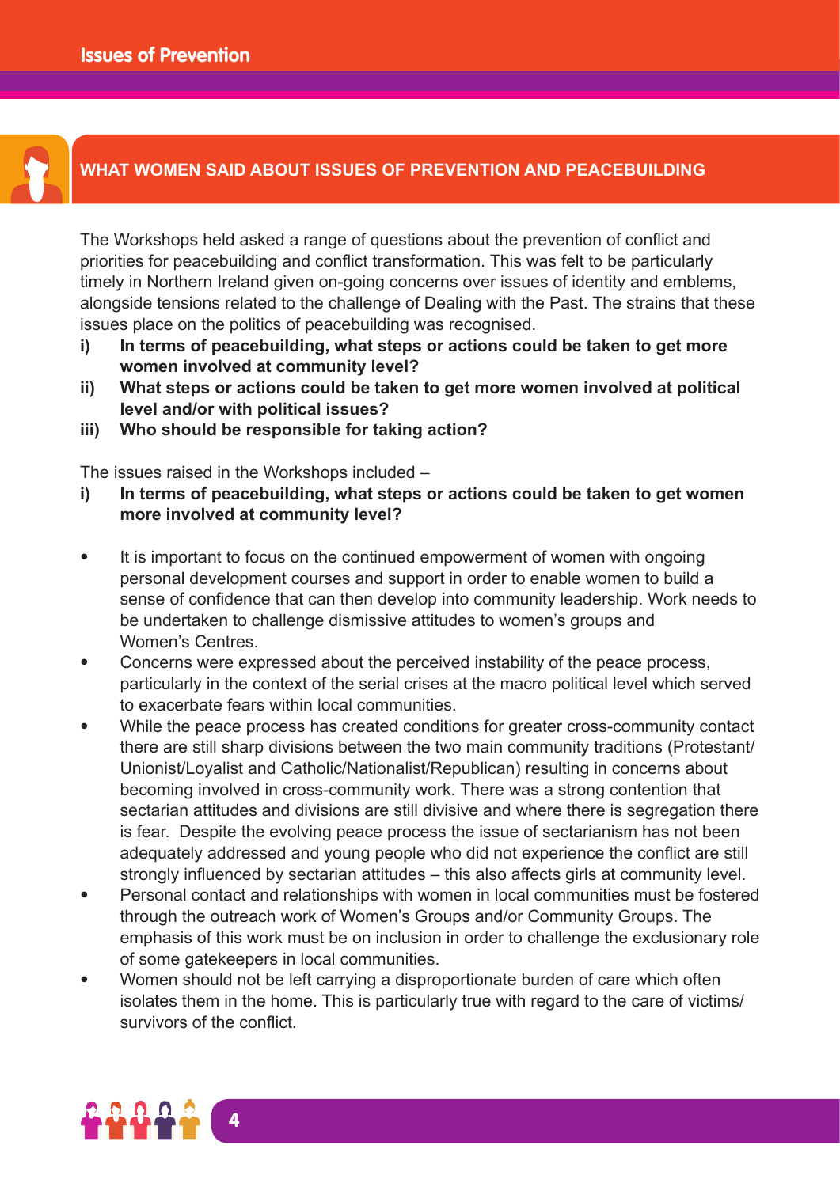

# **WHAT WOMEN SAID ABOUT ISSUES OF PREVENTION AND PEACEBUILDING**

The Workshops held asked a range of questions about the prevention of conflict and priorities for peacebuilding and conflict transformation. This was felt to be particularly timely in Northern Ireland given on-going concerns over issues of identity and emblems, alongside tensions related to the challenge of Dealing with the Past. The strains that these issues place on the politics of peacebuilding was recognised.

- **i) In terms of peacebuilding, what steps or actions could be taken to get more women involved at community level?**
- **ii) What steps or actions could be taken to get more women involved at political level and/or with political issues?**
- **iii) Who should be responsible for taking action?**

The issues raised in the Workshops included –

- **i) In terms of peacebuilding, what steps or actions could be taken to get women more involved at community level?**
- It is important to focus on the continued empowerment of women with ongoing personal development courses and support in order to enable women to build a sense of confidence that can then develop into community leadership. Work needs to be undertaken to challenge dismissive attitudes to women's groups and Women's Centres.
- Concerns were expressed about the perceived instability of the peace process, particularly in the context of the serial crises at the macro political level which served to exacerbate fears within local communities.
- While the peace process has created conditions for greater cross-community contact there are still sharp divisions between the two main community traditions (Protestant/ Unionist/Loyalist and Catholic/Nationalist/Republican) resulting in concerns about becoming involved in cross-community work. There was a strong contention that sectarian attitudes and divisions are still divisive and where there is segregation there is fear. Despite the evolving peace process the issue of sectarianism has not been adequately addressed and young people who did not experience the conflict are still strongly influenced by sectarian attitudes – this also affects girls at community level.
- Personal contact and relationships with women in local communities must be fostered through the outreach work of Women's Groups and/or Community Groups. The emphasis of this work must be on inclusion in order to challenge the exclusionary role of some gatekeepers in local communities.
- Women should not be left carrying a disproportionate burden of care which often isolates them in the home. This is particularly true with regard to the care of victims/ survivors of the conflict.

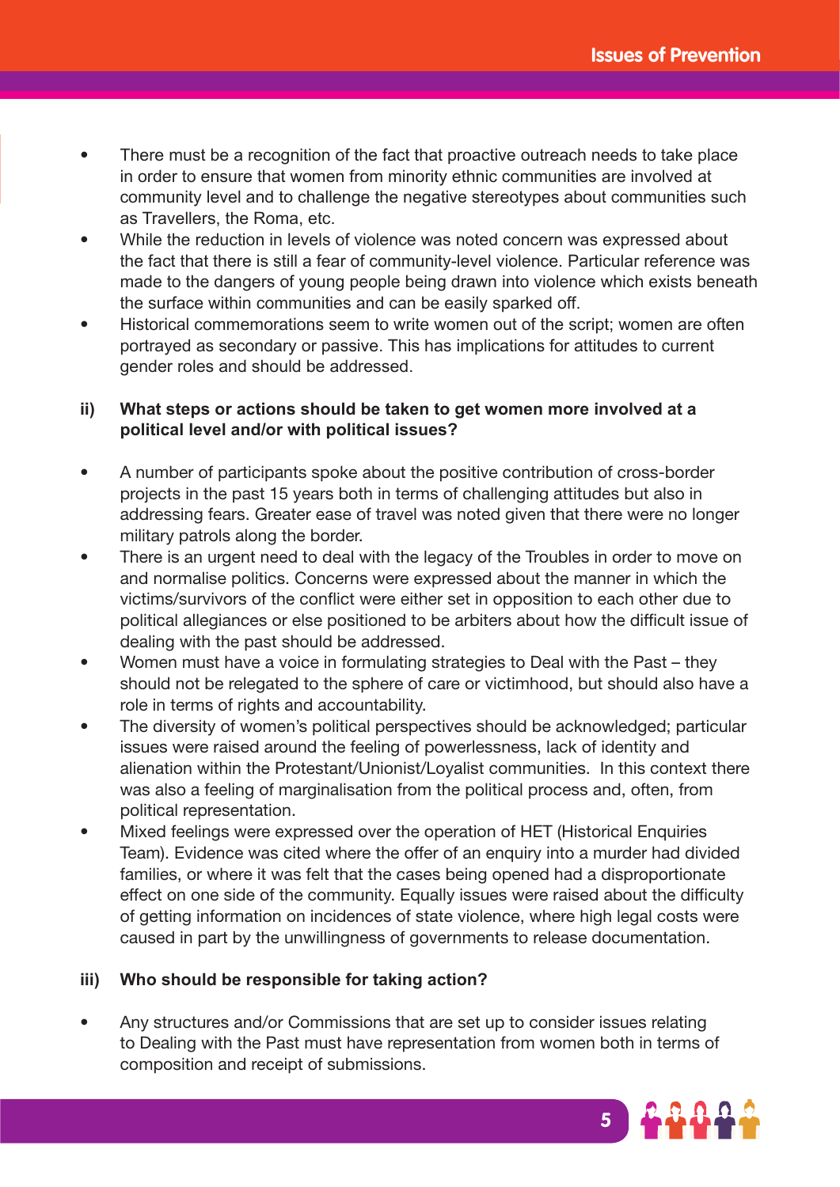- There must be a recognition of the fact that proactive outreach needs to take place in order to ensure that women from minority ethnic communities are involved at community level and to challenge the negative stereotypes about communities such as Travellers, the Roma, etc.
- While the reduction in levels of violence was noted concern was expressed about the fact that there is still a fear of community-level violence. Particular reference was made to the dangers of young people being drawn into violence which exists beneath the surface within communities and can be easily sparked off.
- Historical commemorations seem to write women out of the script; women are often portrayed as secondary or passive. This has implications for attitudes to current gender roles and should be addressed.

## **ii) What steps or actions should be taken to get women more involved at a political level and/or with political issues?**

- A number of participants spoke about the positive contribution of cross-border projects in the past 15 years both in terms of challenging attitudes but also in addressing fears. Greater ease of travel was noted given that there were no longer military patrols along the border.
- There is an urgent need to deal with the legacy of the Troubles in order to move on and normalise politics. Concerns were expressed about the manner in which the victims/survivors of the conflict were either set in opposition to each other due to political allegiances or else positioned to be arbiters about how the difficult issue of dealing with the past should be addressed.
- Women must have a voice in formulating strategies to Deal with the Past they should not be relegated to the sphere of care or victimhood, but should also have a role in terms of rights and accountability.
- The diversity of women's political perspectives should be acknowledged; particular issues were raised around the feeling of powerlessness, lack of identity and alienation within the Protestant/Unionist/Loyalist communities. In this context there was also a feeling of marginalisation from the political process and, often, from political representation.
- Mixed feelings were expressed over the operation of HET (Historical Enquiries Team). Evidence was cited where the offer of an enquiry into a murder had divided families, or where it was felt that the cases being opened had a disproportionate effect on one side of the community. Equally issues were raised about the difficulty of getting information on incidences of state violence, where high legal costs were caused in part by the unwillingness of governments to release documentation.

### **iii) Who should be responsible for taking action?**

• Any structures and/or Commissions that are set up to consider issues relating to Dealing with the Past must have representation from women both in terms of composition and receipt of submissions.

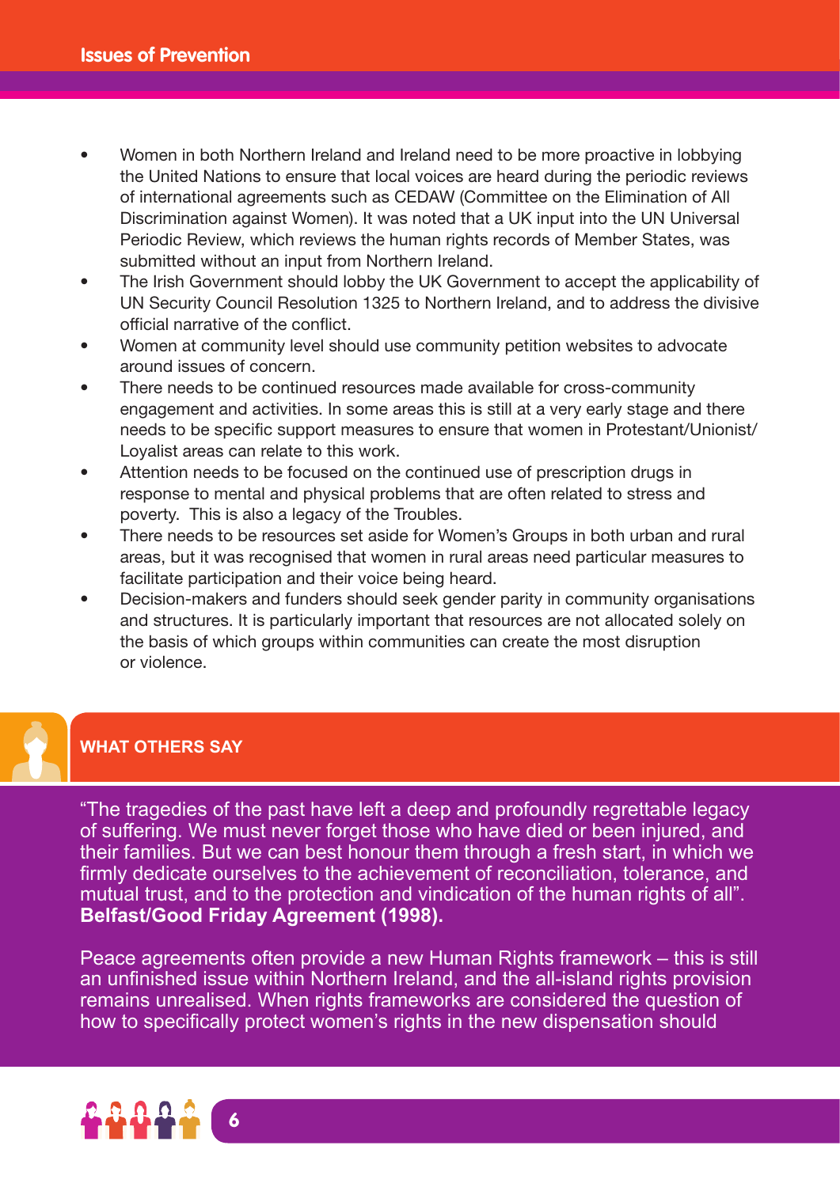- Women in both Northern Ireland and Ireland need to be more proactive in lobbying the United Nations to ensure that local voices are heard during the periodic reviews of international agreements such as CEDAW (Committee on the Elimination of All Discrimination against Women). It was noted that a UK input into the UN Universal Periodic Review, which reviews the human rights records of Member States, was submitted without an input from Northern Ireland.
- The Irish Government should lobby the UK Government to accept the applicability of UN Security Council Resolution 1325 to Northern Ireland, and to address the divisive official narrative of the conflict.
- Women at community level should use community petition websites to advocate around issues of concern.
- There needs to be continued resources made available for cross-community engagement and activities. In some areas this is still at a very early stage and there needs to be specific support measures to ensure that women in Protestant/Unionist/ Loyalist areas can relate to this work.
- Attention needs to be focused on the continued use of prescription drugs in response to mental and physical problems that are often related to stress and poverty. This is also a legacy of the Troubles.
- There needs to be resources set aside for Women's Groups in both urban and rural areas, but it was recognised that women in rural areas need particular measures to facilitate participation and their voice being heard.
- Decision-makers and funders should seek gender parity in community organisations and structures. It is particularly important that resources are not allocated solely on the basis of which groups within communities can create the most disruption or violence.

# **WHAT OTHERS SAY**

"The tragedies of the past have left a deep and profoundly regrettable legacy of suffering. We must never forget those who have died or been injured, and their families. But we can best honour them through a fresh start, in which we firmly dedicate ourselves to the achievement of reconciliation, tolerance, and mutual trust, and to the protection and vindication of the human rights of all". **Belfast/Good Friday Agreement (1998).**

Peace agreements often provide a new Human Rights framework – this is still an unfinished issue within Northern Ireland, and the all-island rights provision remains unrealised. When rights frameworks are considered the question of how to specifically protect women's rights in the new dispensation should

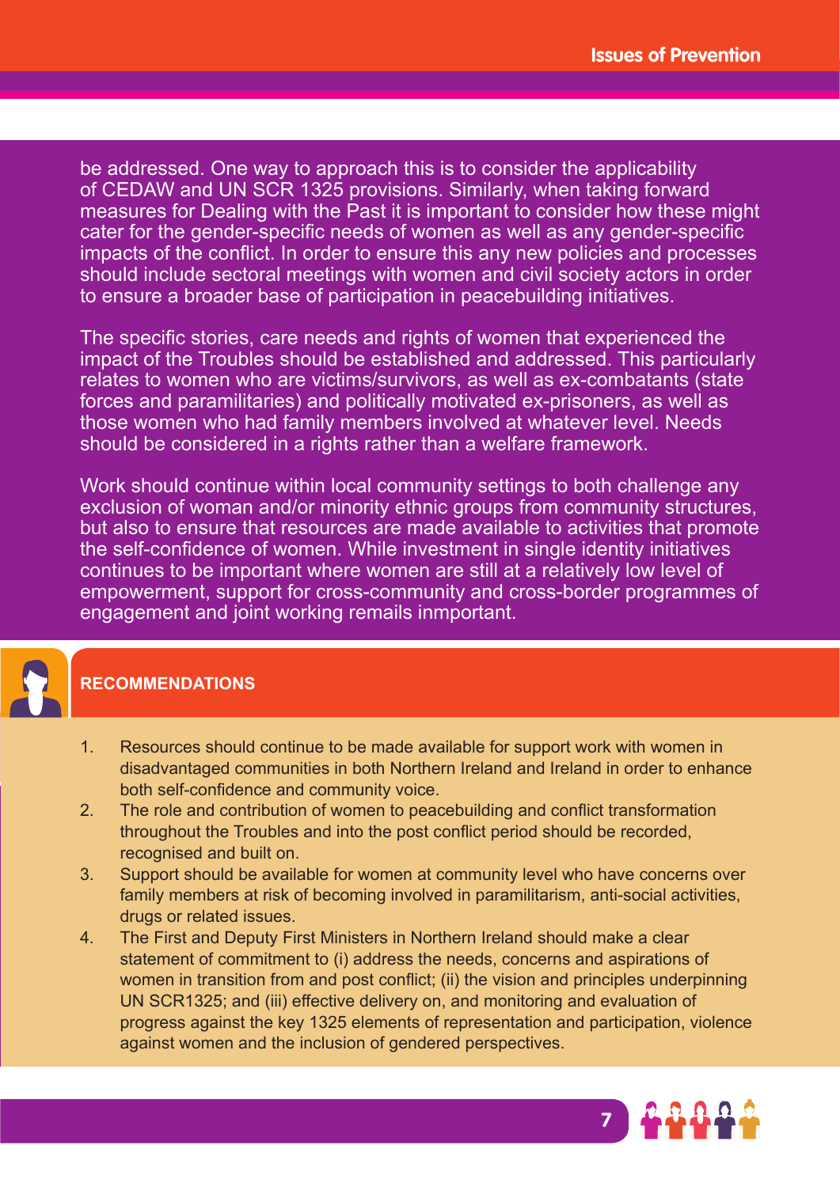be addressed. One way to approach this is to consider the applicability of CEDAW and UN SCR 1325 provisions. Similarly, when taking forward measures for Dealing with the Past it is important to consider how these might cater for the gender-specific needs of women as well as any gender-specific impacts of the conflict. In order to ensure this any new policies and processes should include sectoral meetings with women and civil society actors in order to ensure a broader base of participation in peacebuilding initiatives.

The specific stories, care needs and rights of women that experienced the impact of the Troubles should be established and addressed. This particularly relates to women who are victims/survivors, as well as ex-combatants (state forces and paramilitaries) and politically motivated ex-prisoners, as well as those women who had family members involved at whatever level. Needs should be considered in a rights rather than a welfare framework.

Work should continue within local community settings to both challenge any exclusion of woman and/or minority ethnic groups from community structures, but also to ensure that resources are made available to activities that promote the self-confidence of women. While investment in single identity initiatives continues to be important where women are still at a relatively low level of empowerment, support for cross-community and cross-border programmes of engagement and joint working remails inmportant.



# **RECOMMENDATIONS**

- 1. Resources should continue to be made available for support work with women in disadvantaged communities in both Northern Ireland and Ireland in order to enhance both self-confidence and community voice.
- 2. The role and contribution of women to peacebuilding and conflict transformation throughout the Troubles and into the post conflict period should be recorded, recognised and built on.
- 3. Support should be available for women at community level who have concerns over family members at risk of becoming involved in paramilitarism, anti-social activities, drugs or related issues.
- 4. The First and Deputy First Ministers in Northern Ireland should make a clear statement of commitment to (i) address the needs, concerns and aspirations of women in transition from and post conflict; (ii) the vision and principles underpinning UN SCR1325; and (iii) effective delivery on, and monitoring and evaluation of progress against the key 1325 elements of representation and participation, violence against women and the inclusion of gendered perspectives.